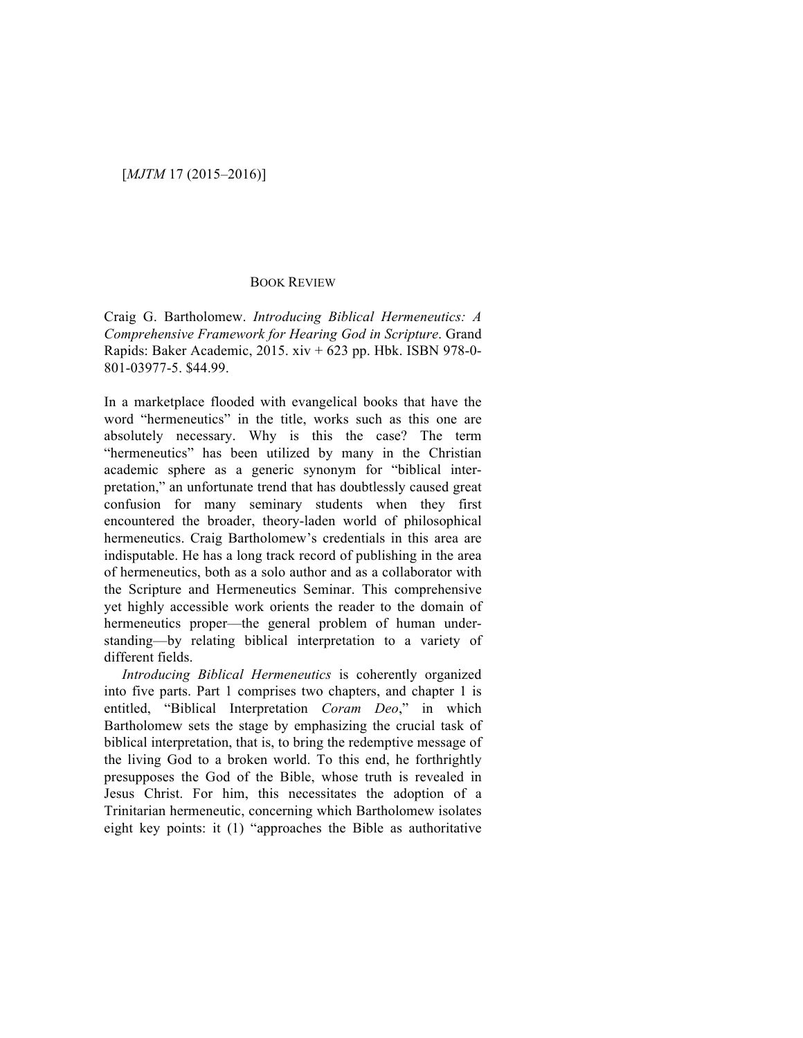## BOOK REVIEW

Craig G. Bartholomew. *Introducing Biblical Hermeneutics: A Comprehensive Framework for Hearing God in Scripture*. Grand Rapids: Baker Academic, 2015. xiv + 623 pp. Hbk. ISBN 978-0- 801-03977-5. \$44.99.

In a marketplace flooded with evangelical books that have the word "hermeneutics" in the title, works such as this one are absolutely necessary. Why is this the case? The term "hermeneutics" has been utilized by many in the Christian academic sphere as a generic synonym for "biblical interpretation," an unfortunate trend that has doubtlessly caused great confusion for many seminary students when they first encountered the broader, theory-laden world of philosophical hermeneutics. Craig Bartholomew's credentials in this area are indisputable. He has a long track record of publishing in the area of hermeneutics, both as a solo author and as a collaborator with the Scripture and Hermeneutics Seminar. This comprehensive yet highly accessible work orients the reader to the domain of hermeneutics proper—the general problem of human understanding—by relating biblical interpretation to a variety of different fields.

*Introducing Biblical Hermeneutics* is coherently organized into five parts. Part 1 comprises two chapters, and chapter 1 is entitled, "Biblical Interpretation *Coram Deo*," in which Bartholomew sets the stage by emphasizing the crucial task of biblical interpretation, that is, to bring the redemptive message of the living God to a broken world. To this end, he forthrightly presupposes the God of the Bible, whose truth is revealed in Jesus Christ. For him, this necessitates the adoption of a Trinitarian hermeneutic, concerning which Bartholomew isolates eight key points: it (1) "approaches the Bible as authoritative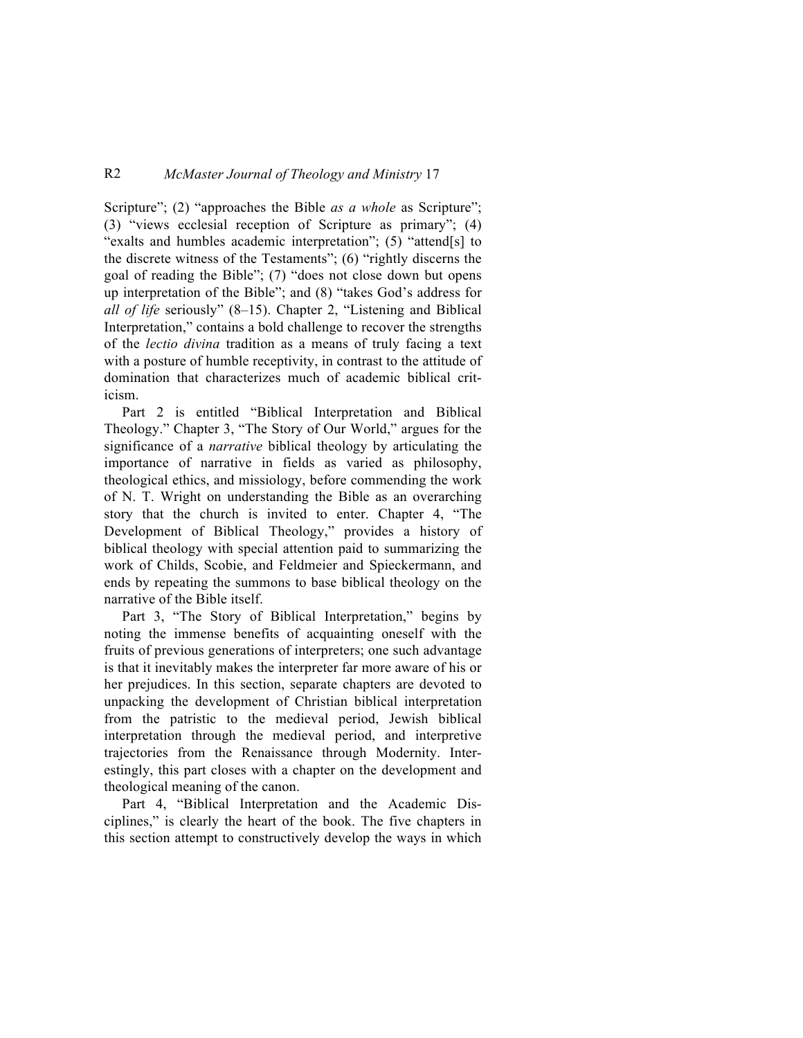## R2 *McMaster Journal of Theology and Ministry* 17

Scripture"; (2) "approaches the Bible *as a whole* as Scripture"; (3) "views ecclesial reception of Scripture as primary"; (4) "exalts and humbles academic interpretation"; (5) "attend[s] to the discrete witness of the Testaments"; (6) "rightly discerns the goal of reading the Bible"; (7) "does not close down but opens up interpretation of the Bible"; and (8) "takes God's address for *all of life* seriously" (8–15). Chapter 2, "Listening and Biblical Interpretation," contains a bold challenge to recover the strengths of the *lectio divina* tradition as a means of truly facing a text with a posture of humble receptivity, in contrast to the attitude of domination that characterizes much of academic biblical criticism.

Part 2 is entitled "Biblical Interpretation and Biblical Theology." Chapter 3, "The Story of Our World," argues for the significance of a *narrative* biblical theology by articulating the importance of narrative in fields as varied as philosophy, theological ethics, and missiology, before commending the work of N. T. Wright on understanding the Bible as an overarching story that the church is invited to enter. Chapter 4, "The Development of Biblical Theology," provides a history of biblical theology with special attention paid to summarizing the work of Childs, Scobie, and Feldmeier and Spieckermann, and ends by repeating the summons to base biblical theology on the narrative of the Bible itself.

Part 3, "The Story of Biblical Interpretation," begins by noting the immense benefits of acquainting oneself with the fruits of previous generations of interpreters; one such advantage is that it inevitably makes the interpreter far more aware of his or her prejudices. In this section, separate chapters are devoted to unpacking the development of Christian biblical interpretation from the patristic to the medieval period, Jewish biblical interpretation through the medieval period, and interpretive trajectories from the Renaissance through Modernity. Interestingly, this part closes with a chapter on the development and theological meaning of the canon.

Part 4, "Biblical Interpretation and the Academic Disciplines," is clearly the heart of the book. The five chapters in this section attempt to constructively develop the ways in which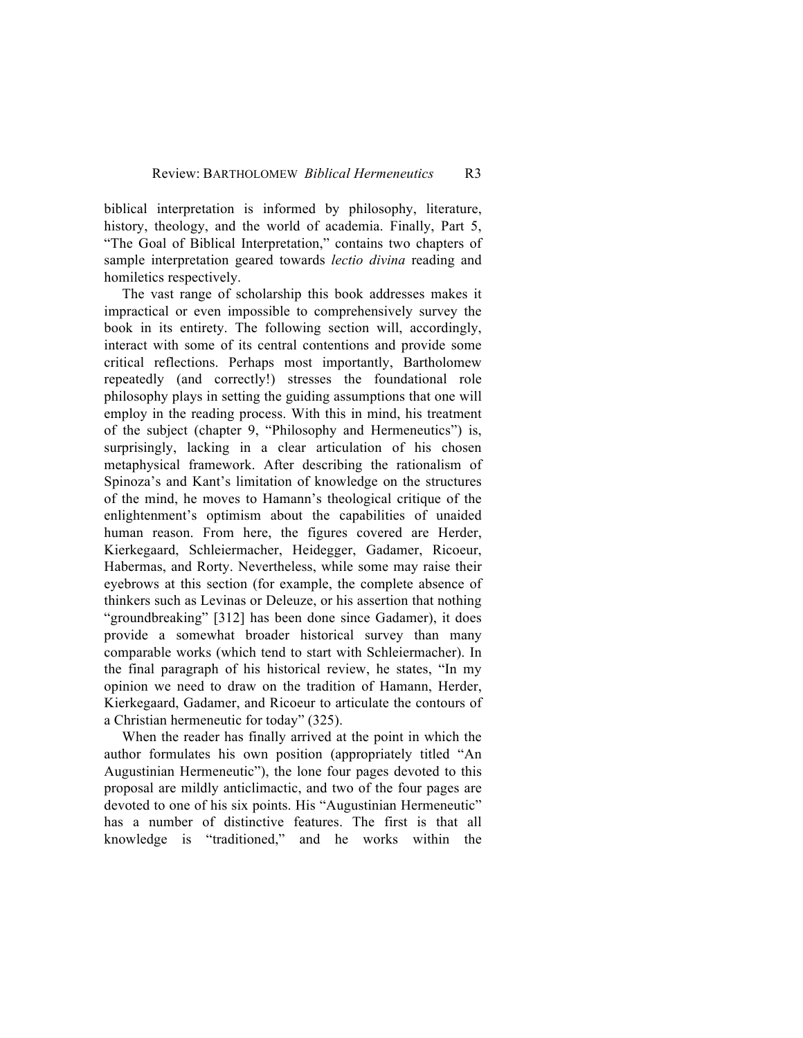biblical interpretation is informed by philosophy, literature, history, theology, and the world of academia. Finally, Part 5, "The Goal of Biblical Interpretation," contains two chapters of sample interpretation geared towards *lectio divina* reading and homiletics respectively.

The vast range of scholarship this book addresses makes it impractical or even impossible to comprehensively survey the book in its entirety. The following section will, accordingly, interact with some of its central contentions and provide some critical reflections. Perhaps most importantly, Bartholomew repeatedly (and correctly!) stresses the foundational role philosophy plays in setting the guiding assumptions that one will employ in the reading process. With this in mind, his treatment of the subject (chapter 9, "Philosophy and Hermeneutics") is, surprisingly, lacking in a clear articulation of his chosen metaphysical framework. After describing the rationalism of Spinoza's and Kant's limitation of knowledge on the structures of the mind, he moves to Hamann's theological critique of the enlightenment's optimism about the capabilities of unaided human reason. From here, the figures covered are Herder, Kierkegaard, Schleiermacher, Heidegger, Gadamer, Ricoeur, Habermas, and Rorty. Nevertheless, while some may raise their eyebrows at this section (for example, the complete absence of thinkers such as Levinas or Deleuze, or his assertion that nothing "groundbreaking" [312] has been done since Gadamer), it does provide a somewhat broader historical survey than many comparable works (which tend to start with Schleiermacher). In the final paragraph of his historical review, he states, "In my opinion we need to draw on the tradition of Hamann, Herder, Kierkegaard, Gadamer, and Ricoeur to articulate the contours of a Christian hermeneutic for today" (325).

When the reader has finally arrived at the point in which the author formulates his own position (appropriately titled "An Augustinian Hermeneutic"), the lone four pages devoted to this proposal are mildly anticlimactic, and two of the four pages are devoted to one of his six points. His "Augustinian Hermeneutic" has a number of distinctive features. The first is that all knowledge is "traditioned," and he works within the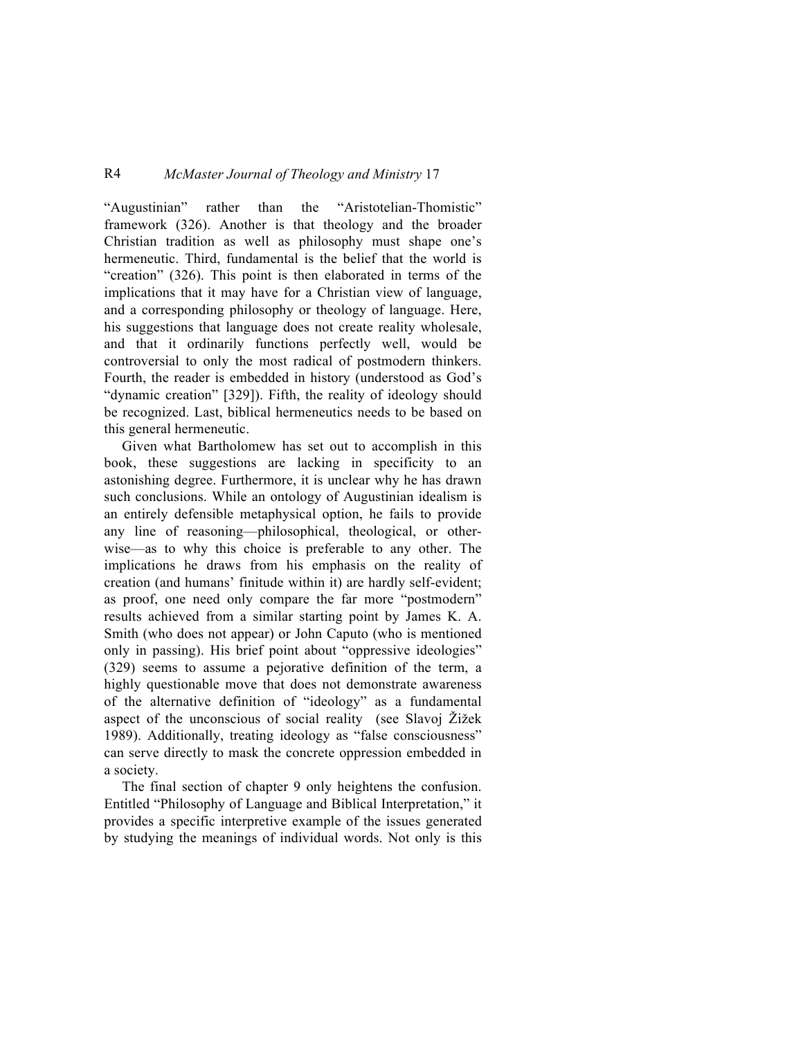## R4 *McMaster Journal of Theology and Ministry* 17

"Augustinian" rather than the "Aristotelian-Thomistic" framework (326). Another is that theology and the broader Christian tradition as well as philosophy must shape one's hermeneutic. Third, fundamental is the belief that the world is "creation" (326). This point is then elaborated in terms of the implications that it may have for a Christian view of language, and a corresponding philosophy or theology of language. Here, his suggestions that language does not create reality wholesale, and that it ordinarily functions perfectly well, would be controversial to only the most radical of postmodern thinkers. Fourth, the reader is embedded in history (understood as God's "dynamic creation" [329]). Fifth, the reality of ideology should be recognized. Last, biblical hermeneutics needs to be based on this general hermeneutic.

Given what Bartholomew has set out to accomplish in this book, these suggestions are lacking in specificity to an astonishing degree. Furthermore, it is unclear why he has drawn such conclusions. While an ontology of Augustinian idealism is an entirely defensible metaphysical option, he fails to provide any line of reasoning—philosophical, theological, or otherwise—as to why this choice is preferable to any other. The implications he draws from his emphasis on the reality of creation (and humans' finitude within it) are hardly self-evident; as proof, one need only compare the far more "postmodern" results achieved from a similar starting point by James K. A. Smith (who does not appear) or John Caputo (who is mentioned only in passing). His brief point about "oppressive ideologies" (329) seems to assume a pejorative definition of the term, a highly questionable move that does not demonstrate awareness of the alternative definition of "ideology" as a fundamental aspect of the unconscious of social reality (see Slavoj Žižek 1989). Additionally, treating ideology as "false consciousness" can serve directly to mask the concrete oppression embedded in a society.

The final section of chapter 9 only heightens the confusion. Entitled "Philosophy of Language and Biblical Interpretation," it provides a specific interpretive example of the issues generated by studying the meanings of individual words. Not only is this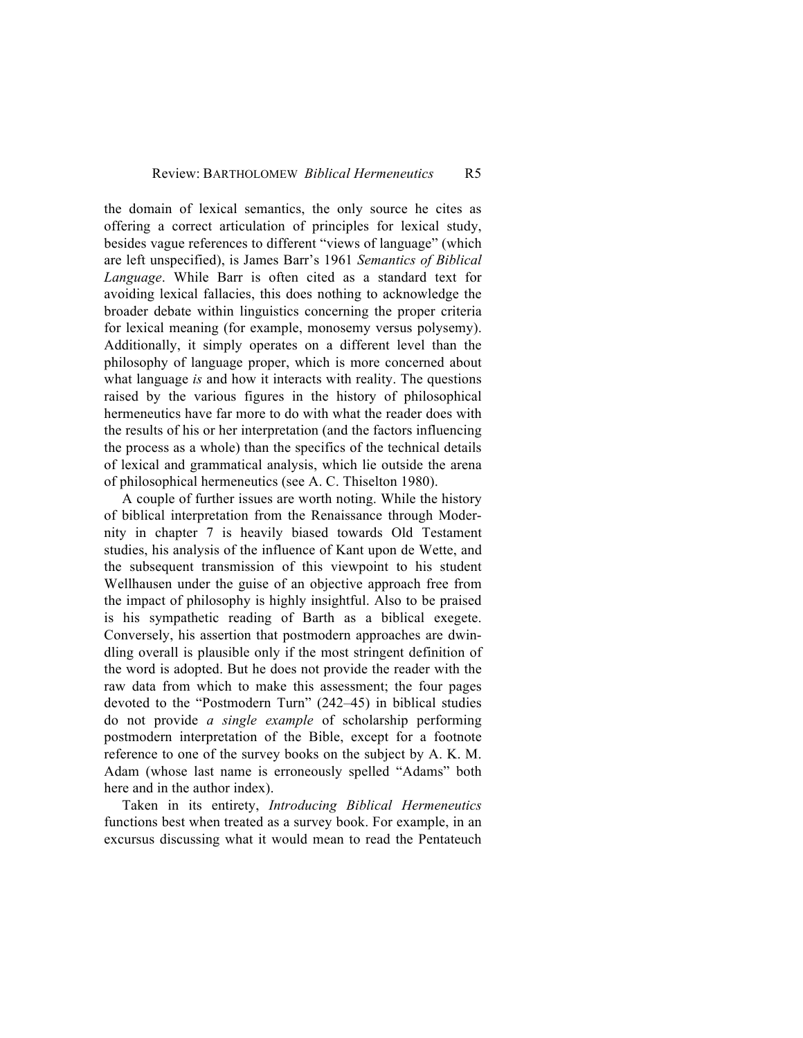the domain of lexical semantics, the only source he cites as offering a correct articulation of principles for lexical study, besides vague references to different "views of language" (which are left unspecified), is James Barr's 1961 *Semantics of Biblical Language*. While Barr is often cited as a standard text for avoiding lexical fallacies, this does nothing to acknowledge the broader debate within linguistics concerning the proper criteria for lexical meaning (for example, monosemy versus polysemy). Additionally, it simply operates on a different level than the philosophy of language proper, which is more concerned about what language *is* and how it interacts with reality. The questions raised by the various figures in the history of philosophical hermeneutics have far more to do with what the reader does with the results of his or her interpretation (and the factors influencing the process as a whole) than the specifics of the technical details of lexical and grammatical analysis, which lie outside the arena of philosophical hermeneutics (see A. C. Thiselton 1980).

A couple of further issues are worth noting. While the history of biblical interpretation from the Renaissance through Modernity in chapter 7 is heavily biased towards Old Testament studies, his analysis of the influence of Kant upon de Wette, and the subsequent transmission of this viewpoint to his student Wellhausen under the guise of an objective approach free from the impact of philosophy is highly insightful. Also to be praised is his sympathetic reading of Barth as a biblical exegete. Conversely, his assertion that postmodern approaches are dwindling overall is plausible only if the most stringent definition of the word is adopted. But he does not provide the reader with the raw data from which to make this assessment; the four pages devoted to the "Postmodern Turn" (242–45) in biblical studies do not provide *a single example* of scholarship performing postmodern interpretation of the Bible, except for a footnote reference to one of the survey books on the subject by A. K. M. Adam (whose last name is erroneously spelled "Adams" both here and in the author index).

Taken in its entirety, *Introducing Biblical Hermeneutics* functions best when treated as a survey book. For example, in an excursus discussing what it would mean to read the Pentateuch